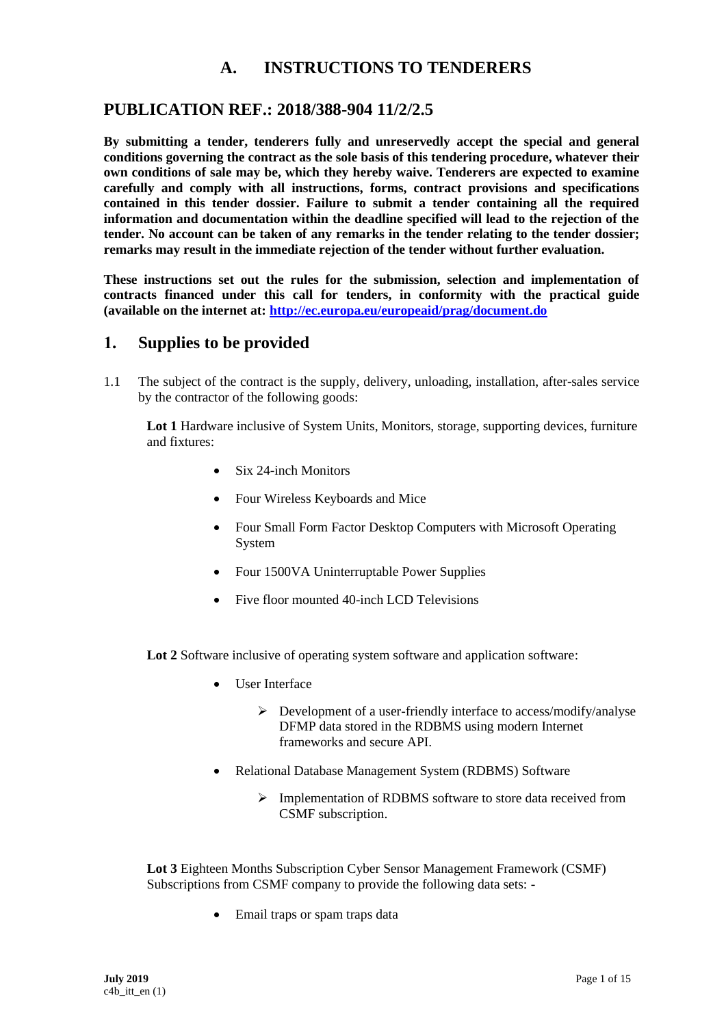## **A. INSTRUCTIONS TO TENDERERS**

## **PUBLICATION REF.: 2018/388-904 11/2/2.5**

**By submitting a tender, tenderers fully and unreservedly accept the special and general conditions governing the contract as the sole basis of this tendering procedure, whatever their own conditions of sale may be, which they hereby waive. Tenderers are expected to examine carefully and comply with all instructions, forms, contract provisions and specifications contained in this tender dossier. Failure to submit a tender containing all the required information and documentation within the deadline specified will lead to the rejection of the tender. No account can be taken of any remarks in the tender relating to the tender dossier; remarks may result in the immediate rejection of the tender without further evaluation.**

**These instructions set out the rules for the submission, selection and implementation of contracts financed under this call for tenders, in conformity with the practical guide (available on the internet at: <http://ec.europa.eu/europeaid/prag/document.do>**

### **1. Supplies to be provided**

1.1 The subject of the contract is the supply, delivery, unloading, installation, after-sales service by the contractor of the following goods:

**Lot 1** Hardware inclusive of System Units, Monitors, storage, supporting devices, furniture and fixtures:

- Six 24-inch Monitors
- Four Wireless Keyboards and Mice
- Four Small Form Factor Desktop Computers with Microsoft Operating System
- Four 1500VA Uninterruptable Power Supplies
- Five floor mounted 40-inch LCD Televisions

Lot 2 Software inclusive of operating system software and application software:

- User Interface
	- $\triangleright$  Development of a user-friendly interface to access/modify/analyse DFMP data stored in the RDBMS using modern Internet frameworks and secure API.
- Relational Database Management System (RDBMS) Software
	- ➢ Implementation of RDBMS software to store data received from CSMF subscription.

**Lot 3** Eighteen Months Subscription Cyber Sensor Management Framework (CSMF) Subscriptions from CSMF company to provide the following data sets: -

• Email traps or spam traps data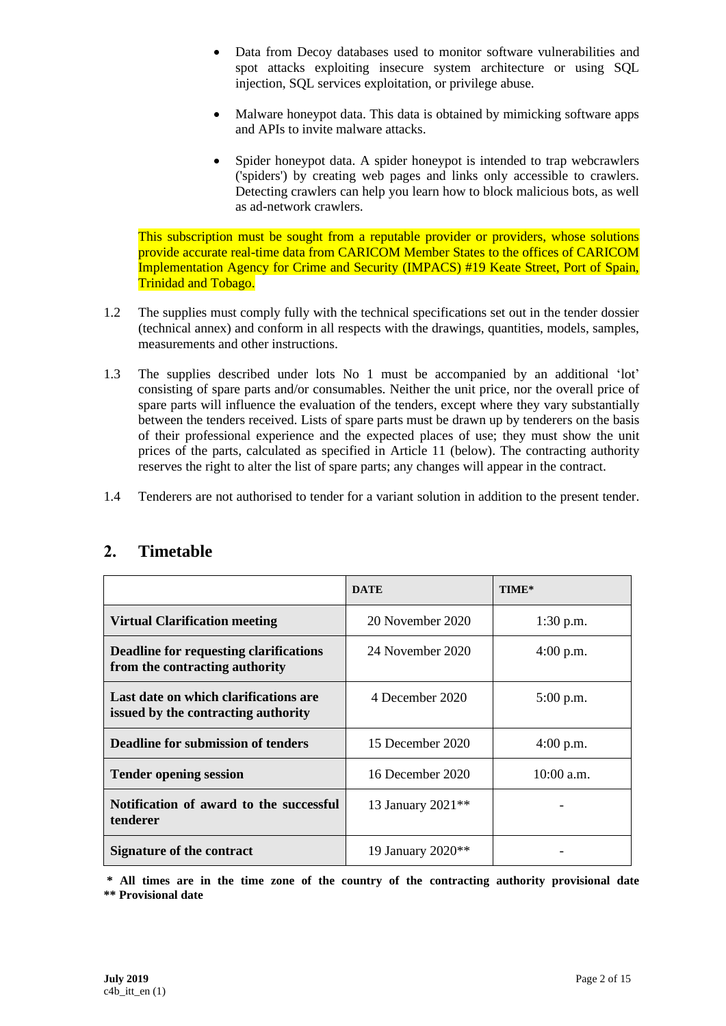- Data from Decoy databases used to monitor software vulnerabilities and spot attacks exploiting insecure system architecture or using SQL injection, SQL services exploitation, or privilege abuse.
- Malware honeypot data. This data is obtained by mimicking software apps and APIs to invite malware attacks.
- Spider honeypot data. A spider honeypot is intended to trap webcrawlers ('spiders') by creating web pages and links only accessible to crawlers. Detecting crawlers can help you learn how to block malicious bots, as well as ad-network crawlers.

This subscription must be sought from a reputable provider or providers, whose solutions provide accurate real-time data from CARICOM Member States to the offices of CARICOM Implementation Agency for Crime and Security (IMPACS) #19 Keate Street, Port of Spain, Trinidad and Tobago.

- 1.2 The supplies must comply fully with the technical specifications set out in the tender dossier (technical annex) and conform in all respects with the drawings, quantities, models, samples, measurements and other instructions.
- 1.3 The supplies described under lots No 1 must be accompanied by an additional 'lot' consisting of spare parts and/or consumables. Neither the unit price, nor the overall price of spare parts will influence the evaluation of the tenders, except where they vary substantially between the tenders received. Lists of spare parts must be drawn up by tenderers on the basis of their professional experience and the expected places of use; they must show the unit prices of the parts, calculated as specified in Article 11 (below). The contracting authority reserves the right to alter the list of spare parts; any changes will appear in the contract.
- 1.4 Tenderers are not authorised to tender for a variant solution in addition to the present tender.

|                                                                                 | <b>DATE</b>                   | TIME*        |
|---------------------------------------------------------------------------------|-------------------------------|--------------|
| <b>Virtual Clarification meeting</b>                                            | 20 November 2020              | $1:30$ p.m.  |
| <b>Deadline for requesting clarifications</b><br>from the contracting authority | 24 November 2020              | $4:00$ p.m.  |
| Last date on which clarifications are<br>issued by the contracting authority    | 4 December 2020               | $5:00$ p.m.  |
| Deadline for submission of tenders                                              | 15 December 2020              | $4:00$ p.m.  |
| <b>Tender opening session</b>                                                   | 16 December 2020              | $10:00$ a.m. |
| Notification of award to the successful<br>tenderer                             | 13 January 2021 <sup>**</sup> |              |
| Signature of the contract                                                       | 19 January 2020 <sup>**</sup> |              |

# **2. Timetable**

**\* All times are in the time zone of the country of the contracting authority provisional date \*\* Provisional date**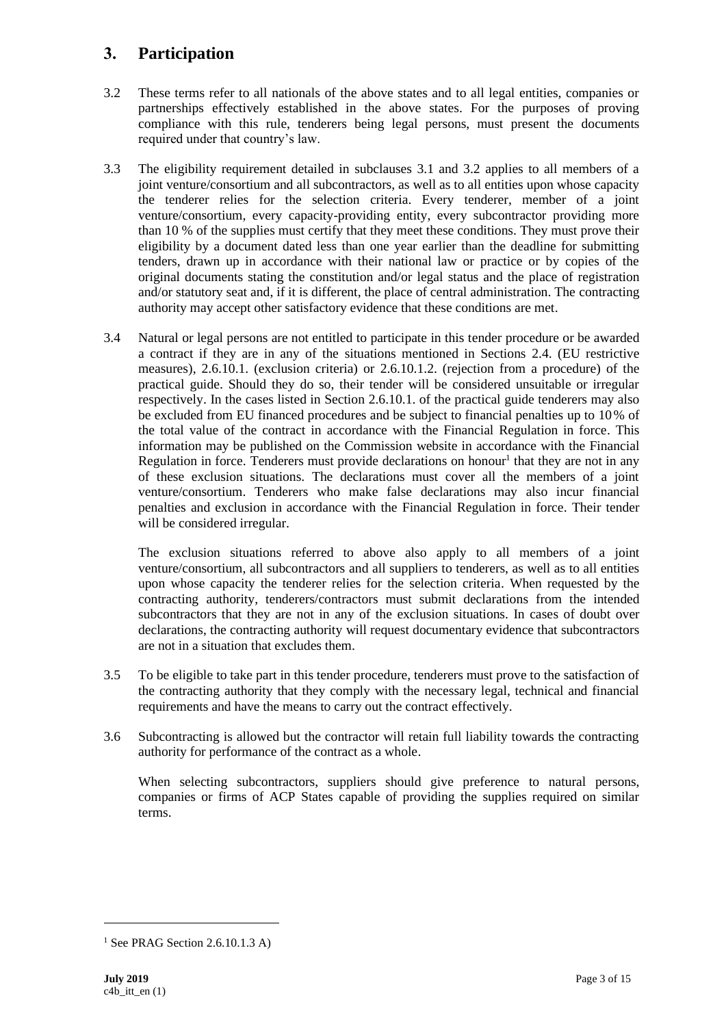# **3. Participation**

- 3.2 These terms refer to all nationals of the above states and to all legal entities, companies or partnerships effectively established in the above states. For the purposes of proving compliance with this rule, tenderers being legal persons, must present the documents required under that country's law.
- 3.3 The eligibility requirement detailed in subclauses 3.1 and 3.2 applies to all members of a joint venture/consortium and all subcontractors, as well as to all entities upon whose capacity the tenderer relies for the selection criteria. Every tenderer, member of a joint venture/consortium, every capacity-providing entity, every subcontractor providing more than 10 % of the supplies must certify that they meet these conditions. They must prove their eligibility by a document dated less than one year earlier than the deadline for submitting tenders, drawn up in accordance with their national law or practice or by copies of the original documents stating the constitution and/or legal status and the place of registration and/or statutory seat and, if it is different, the place of central administration. The contracting authority may accept other satisfactory evidence that these conditions are met.
- 3.4 Natural or legal persons are not entitled to participate in this tender procedure or be awarded a contract if they are in any of the situations mentioned in Sections 2.4. (EU restrictive measures), 2.6.10.1. (exclusion criteria) or 2.6.10.1.2. (rejection from a procedure) of the practical guide. Should they do so, their tender will be considered unsuitable or irregular respectively. In the cases listed in Section 2.6.10.1. of the practical guide tenderers may also be excluded from EU financed procedures and be subject to financial penalties up to 10% of the total value of the contract in accordance with the Financial Regulation in force. This information may be published on the Commission website in accordance with the Financial Regulation in force. Tenderers must provide declarations on honour<sup>1</sup> that they are not in any of these exclusion situations. The declarations must cover all the members of a joint venture/consortium. Tenderers who make false declarations may also incur financial penalties and exclusion in accordance with the Financial Regulation in force. Their tender will be considered irregular.

The exclusion situations referred to above also apply to all members of a joint venture/consortium, all subcontractors and all suppliers to tenderers, as well as to all entities upon whose capacity the tenderer relies for the selection criteria. When requested by the contracting authority, tenderers/contractors must submit declarations from the intended subcontractors that they are not in any of the exclusion situations. In cases of doubt over declarations, the contracting authority will request documentary evidence that subcontractors are not in a situation that excludes them.

- 3.5 To be eligible to take part in this tender procedure, tenderers must prove to the satisfaction of the contracting authority that they comply with the necessary legal, technical and financial requirements and have the means to carry out the contract effectively.
- 3.6 Subcontracting is allowed but the contractor will retain full liability towards the contracting authority for performance of the contract as a whole.

When selecting subcontractors, suppliers should give preference to natural persons, companies or firms of ACP States capable of providing the supplies required on similar terms.

<sup>&</sup>lt;sup>1</sup> See PRAG Section 2.6.10.1.3 A)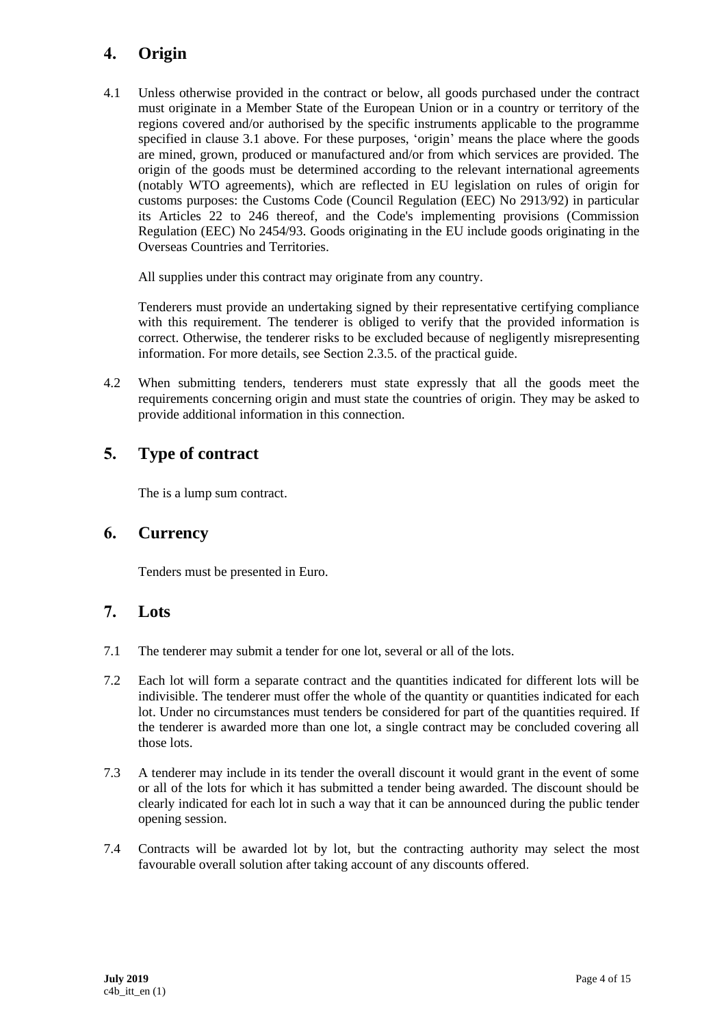# **4. Origin**

4.1 Unless otherwise provided in the contract or below, all goods purchased under the contract must originate in a Member State of the European Union or in a country or territory of the regions covered and/or authorised by the specific instruments applicable to the programme specified in clause 3.1 above. For these purposes, 'origin' means the place where the goods are mined, grown, produced or manufactured and/or from which services are provided. The origin of the goods must be determined according to the relevant international agreements (notably WTO agreements), which are reflected in EU legislation on rules of origin for customs purposes: the Customs Code (Council Regulation (EEC) No 2913/92) in particular its Articles 22 to 246 thereof, and the Code's implementing provisions (Commission Regulation (EEC) No 2454/93. Goods originating in the EU include goods originating in the Overseas Countries and Territories.

All supplies under this contract may originate from any country.

Tenderers must provide an undertaking signed by their representative certifying compliance with this requirement. The tenderer is obliged to verify that the provided information is correct. Otherwise, the tenderer risks to be excluded because of negligently misrepresenting information. For more details, see Section 2.3.5. of the practical guide.

4.2 When submitting tenders, tenderers must state expressly that all the goods meet the requirements concerning origin and must state the countries of origin. They may be asked to provide additional information in this connection.

# **5. Type of contract**

The is a lump sum contract.

### **6. Currency**

Tenders must be presented in Euro.

### **7. Lots**

- 7.1 The tenderer may submit a tender for one lot, several or all of the lots.
- 7.2 Each lot will form a separate contract and the quantities indicated for different lots will be indivisible. The tenderer must offer the whole of the quantity or quantities indicated for each lot. Under no circumstances must tenders be considered for part of the quantities required. If the tenderer is awarded more than one lot, a single contract may be concluded covering all those lots.
- 7.3 A tenderer may include in its tender the overall discount it would grant in the event of some or all of the lots for which it has submitted a tender being awarded. The discount should be clearly indicated for each lot in such a way that it can be announced during the public tender opening session.
- 7.4 Contracts will be awarded lot by lot, but the contracting authority may select the most favourable overall solution after taking account of any discounts offered.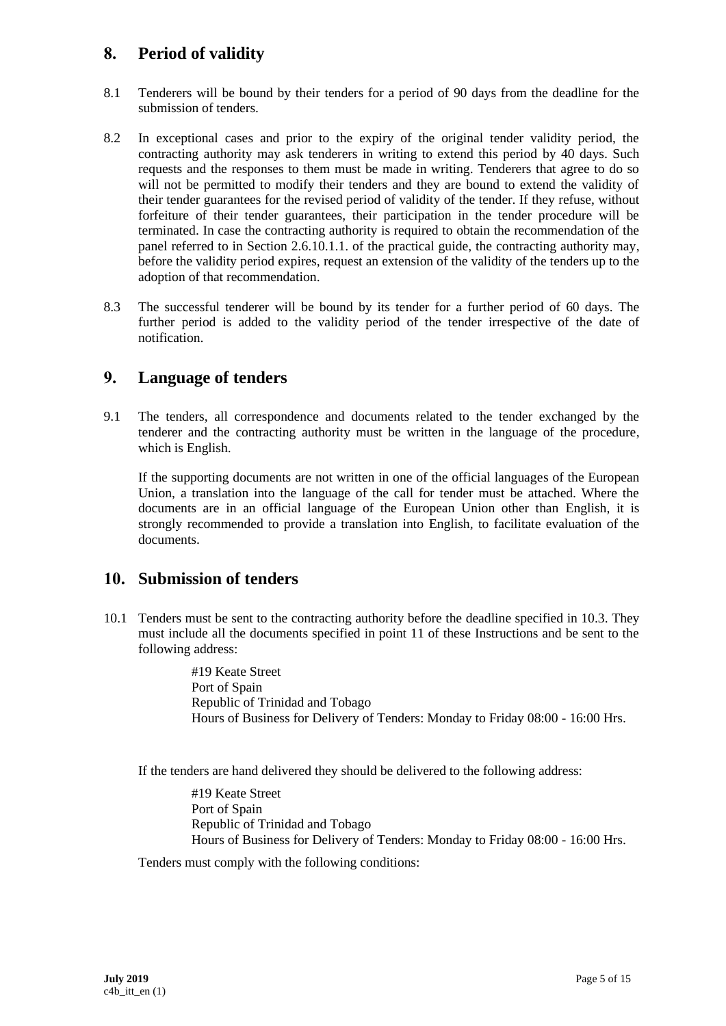## **8. Period of validity**

- 8.1 Tenderers will be bound by their tenders for a period of 90 days from the deadline for the submission of tenders.
- 8.2 In exceptional cases and prior to the expiry of the original tender validity period, the contracting authority may ask tenderers in writing to extend this period by 40 days. Such requests and the responses to them must be made in writing. Tenderers that agree to do so will not be permitted to modify their tenders and they are bound to extend the validity of their tender guarantees for the revised period of validity of the tender. If they refuse, without forfeiture of their tender guarantees, their participation in the tender procedure will be terminated. In case the contracting authority is required to obtain the recommendation of the panel referred to in Section 2.6.10.1.1. of the practical guide, the contracting authority may, before the validity period expires, request an extension of the validity of the tenders up to the adoption of that recommendation.
- 8.3 The successful tenderer will be bound by its tender for a further period of 60 days. The further period is added to the validity period of the tender irrespective of the date of notification.

### **9. Language of tenders**

9.1 The tenders, all correspondence and documents related to the tender exchanged by the tenderer and the contracting authority must be written in the language of the procedure, which is English.

If the supporting documents are not written in one of the official languages of the European Union, a translation into the language of the call for tender must be attached. Where the documents are in an official language of the European Union other than English, it is strongly recommended to provide a translation into English, to facilitate evaluation of the documents.

### **10. Submission of tenders**

10.1 Tenders must be sent to the contracting authority before the deadline specified in 10.3. They must include all the documents specified in point 11 of these Instructions and be sent to the following address:

> #19 Keate Street Port of Spain Republic of Trinidad and Tobago Hours of Business for Delivery of Tenders: Monday to Friday 08:00 - 16:00 Hrs.

If the tenders are hand delivered they should be delivered to the following address:

#19 Keate Street Port of Spain Republic of Trinidad and Tobago Hours of Business for Delivery of Tenders: Monday to Friday 08:00 - 16:00 Hrs.

Tenders must comply with the following conditions: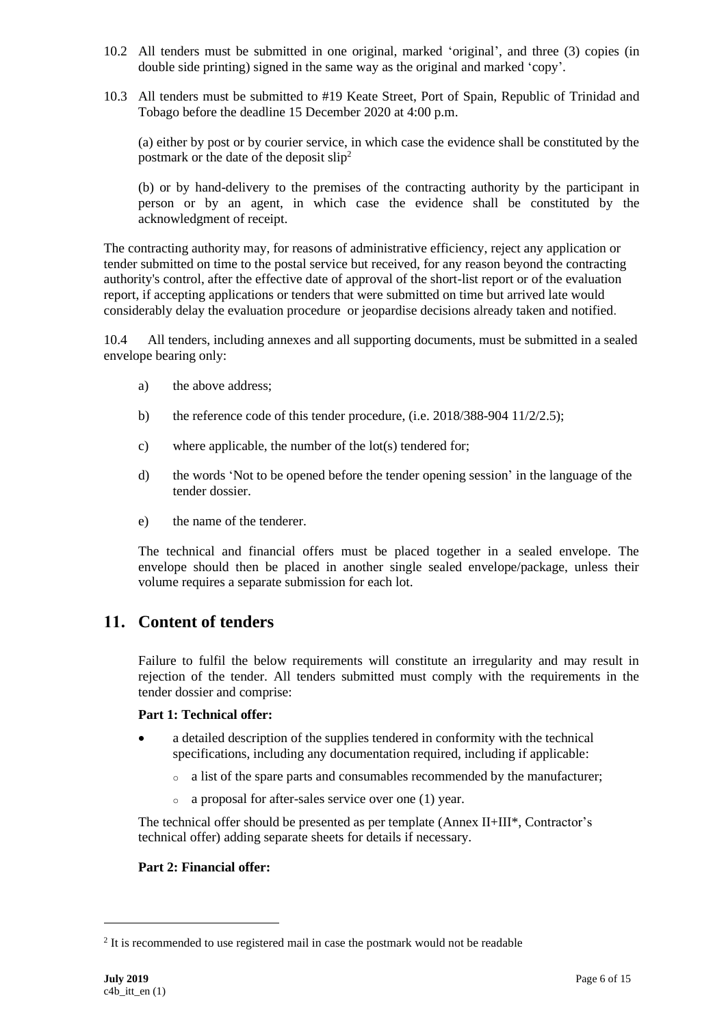- 10.2 All tenders must be submitted in one original, marked 'original', and three (3) copies (in double side printing) signed in the same way as the original and marked 'copy'.
- 10.3 All tenders must be submitted to #19 Keate Street, Port of Spain, Republic of Trinidad and Tobago before the deadline 15 December 2020 at 4:00 p.m.

(a) either by post or by courier service, in which case the evidence shall be constituted by the postmark or the date of the deposit slip<sup>2</sup>

(b) or by hand-delivery to the premises of the contracting authority by the participant in person or by an agent, in which case the evidence shall be constituted by the acknowledgment of receipt.

The contracting authority may, for reasons of administrative efficiency, reject any application or tender submitted on time to the postal service but received, for any reason beyond the contracting authority's control, after the effective date of approval of the short-list report or of the evaluation report, if accepting applications or tenders that were submitted on time but arrived late would considerably delay the evaluation procedure or jeopardise decisions already taken and notified.

10.4 All tenders, including annexes and all supporting documents, must be submitted in a sealed envelope bearing only:

- a) the above address;
- b) the reference code of this tender procedure, (i.e. 2018/388-904 11/2/2.5);
- c) where applicable, the number of the lot(s) tendered for;
- d) the words 'Not to be opened before the tender opening session' in the language of the tender dossier.
- e) the name of the tenderer.

The technical and financial offers must be placed together in a sealed envelope. The envelope should then be placed in another single sealed envelope/package, unless their volume requires a separate submission for each lot.

## **11. Content of tenders**

Failure to fulfil the below requirements will constitute an irregularity and may result in rejection of the tender. All tenders submitted must comply with the requirements in the tender dossier and comprise:

#### **Part 1: Technical offer:**

- a detailed description of the supplies tendered in conformity with the technical specifications, including any documentation required, including if applicable:
	- o a list of the spare parts and consumables recommended by the manufacturer;
	- o a proposal for after-sales service over one (1) year.

The technical offer should be presented as per template (Annex II+III\*, Contractor's technical offer) adding separate sheets for details if necessary.

#### **Part 2: Financial offer:**

<sup>&</sup>lt;sup>2</sup> It is recommended to use registered mail in case the postmark would not be readable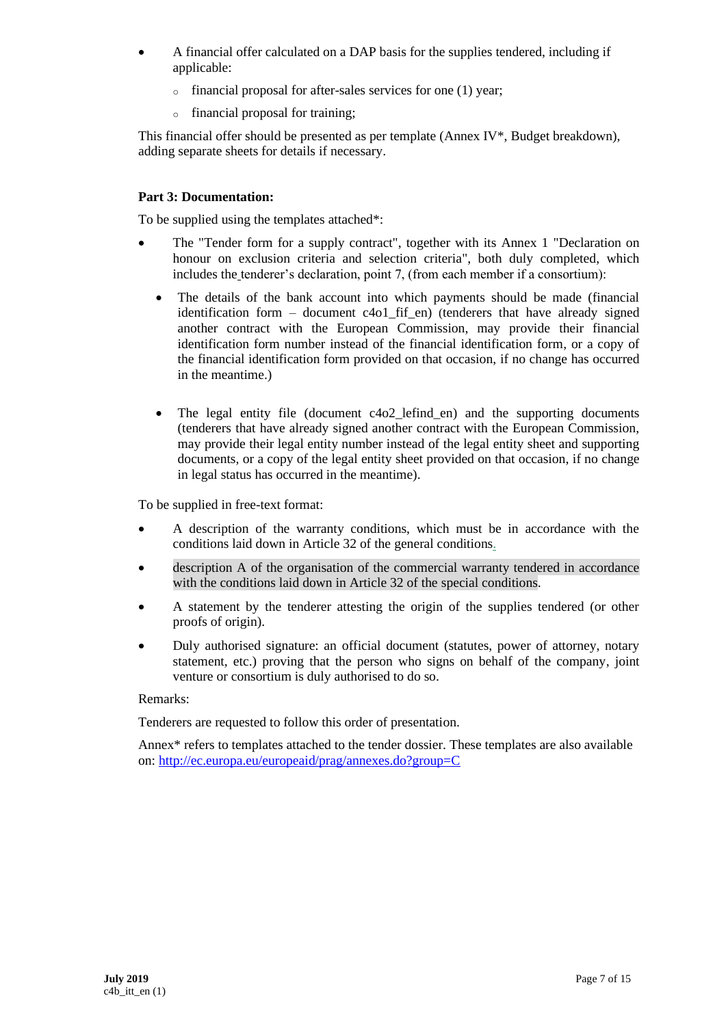- A financial offer calculated on a DAP basis for the supplies tendered, including if applicable:
	- o financial proposal for after-sales services for one (1) year;
	- o financial proposal for training;

This financial offer should be presented as per template (Annex IV\*, Budget breakdown), adding separate sheets for details if necessary.

#### **Part 3: Documentation:**

To be supplied using the templates attached\*:

- The "Tender form for a supply contract", together with its Annex 1 "Declaration on honour on exclusion criteria and selection criteria", both duly completed, which includes the tenderer's declaration, point 7, (from each member if a consortium):
	- The details of the bank account into which payments should be made (financial identification form – document c4o1\_fif\_en) (tenderers that have already signed another contract with the European Commission, may provide their financial identification form number instead of the financial identification form, or a copy of the financial identification form provided on that occasion, if no change has occurred in the meantime.)
	- The legal entity file (document c4o2 lefind en) and the supporting documents (tenderers that have already signed another contract with the European Commission, may provide their legal entity number instead of the legal entity sheet and supporting documents, or a copy of the legal entity sheet provided on that occasion, if no change in legal status has occurred in the meantime).

To be supplied in free-text format:

- A description of the warranty conditions, which must be in accordance with the conditions laid down in Article 32 of the general conditions.
- description A of the organisation of the commercial warranty tendered in accordance with the conditions laid down in Article 32 of the special conditions.
- A statement by the tenderer attesting the origin of the supplies tendered (or other proofs of origin).
- Duly authorised signature: an official document (statutes, power of attorney, notary statement, etc.) proving that the person who signs on behalf of the company, joint venture or consortium is duly authorised to do so.

#### Remarks:

Tenderers are requested to follow this order of presentation.

Annex\* refers to templates attached to the tender dossier. These templates are also available on:<http://ec.europa.eu/europeaid/prag/annexes.do?group=C>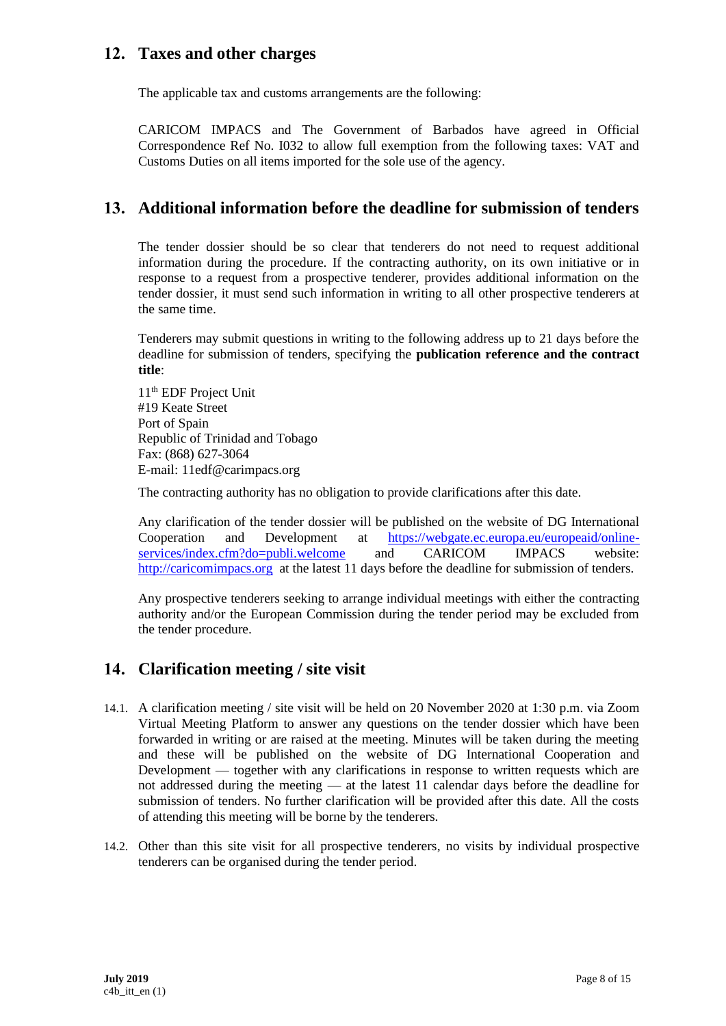## **12. Taxes and other charges**

The applicable tax and customs arrangements are the following:

CARICOM IMPACS and The Government of Barbados have agreed in Official Correspondence Ref No. I032 to allow full exemption from the following taxes: VAT and Customs Duties on all items imported for the sole use of the agency.

## **13. Additional information before the deadline for submission of tenders**

The tender dossier should be so clear that tenderers do not need to request additional information during the procedure. If the contracting authority, on its own initiative or in response to a request from a prospective tenderer, provides additional information on the tender dossier, it must send such information in writing to all other prospective tenderers at the same time.

Tenderers may submit questions in writing to the following address up to 21 days before the deadline for submission of tenders, specifying the **publication reference and the contract title**:

11<sup>th</sup> EDF Project Unit #19 Keate Street Port of Spain Republic of Trinidad and Tobago Fax: (868) 627-3064 E-mail: 11edf@carimpacs.org

The contracting authority has no obligation to provide clarifications after this date.

Any clarification of the tender dossier will be published on the website of DG International Cooperation and Development at https://webgate.ec.europa.eu/europeaid/online-<br>services/index.cfm?do=publi.welcome and CARICOM IMPACS website: [services/index.cfm?do=publi.welcome](https://webgate.ec.europa.eu/europeaid/online-services/index.cfm?do=publi.welcome) and CARICOM IMPACS website: [http://caricomimpacs.org](http://caricomimpacs.org/) at the latest 11 days before the deadline for submission of tenders.

Any prospective tenderers seeking to arrange individual meetings with either the contracting authority and/or the European Commission during the tender period may be excluded from the tender procedure.

# **14. Clarification meeting / site visit**

- 14.1. A clarification meeting / site visit will be held on 20 November 2020 at 1:30 p.m. via Zoom Virtual Meeting Platform to answer any questions on the tender dossier which have been forwarded in writing or are raised at the meeting. Minutes will be taken during the meeting and these will be published on the website of DG International Cooperation and Development — together with any clarifications in response to written requests which are not addressed during the meeting — at the latest 11 calendar days before the deadline for submission of tenders. No further clarification will be provided after this date. All the costs of attending this meeting will be borne by the tenderers.
- 14.2. Other than this site visit for all prospective tenderers, no visits by individual prospective tenderers can be organised during the tender period.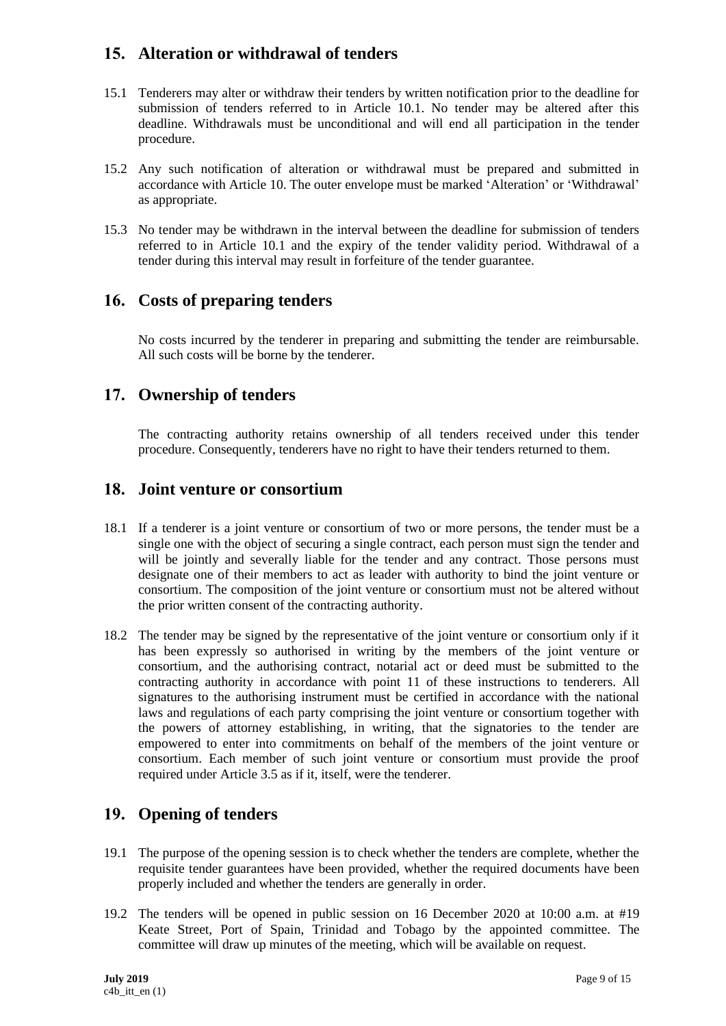# **15. Alteration or withdrawal of tenders**

- 15.1 Tenderers may alter or withdraw their tenders by written notification prior to the deadline for submission of tenders referred to in Article 10.1. No tender may be altered after this deadline. Withdrawals must be unconditional and will end all participation in the tender procedure.
- 15.2 Any such notification of alteration or withdrawal must be prepared and submitted in accordance with Article 10. The outer envelope must be marked 'Alteration' or 'Withdrawal' as appropriate.
- 15.3 No tender may be withdrawn in the interval between the deadline for submission of tenders referred to in Article 10.1 and the expiry of the tender validity period. Withdrawal of a tender during this interval may result in forfeiture of the tender guarantee.

### **16. Costs of preparing tenders**

No costs incurred by the tenderer in preparing and submitting the tender are reimbursable. All such costs will be borne by the tenderer.

### **17. Ownership of tenders**

The contracting authority retains ownership of all tenders received under this tender procedure. Consequently, tenderers have no right to have their tenders returned to them.

### **18. Joint venture or consortium**

- 18.1 If a tenderer is a joint venture or consortium of two or more persons, the tender must be a single one with the object of securing a single contract, each person must sign the tender and will be jointly and severally liable for the tender and any contract. Those persons must designate one of their members to act as leader with authority to bind the joint venture or consortium. The composition of the joint venture or consortium must not be altered without the prior written consent of the contracting authority.
- 18.2 The tender may be signed by the representative of the joint venture or consortium only if it has been expressly so authorised in writing by the members of the joint venture or consortium, and the authorising contract, notarial act or deed must be submitted to the contracting authority in accordance with point 11 of these instructions to tenderers. All signatures to the authorising instrument must be certified in accordance with the national laws and regulations of each party comprising the joint venture or consortium together with the powers of attorney establishing, in writing, that the signatories to the tender are empowered to enter into commitments on behalf of the members of the joint venture or consortium. Each member of such joint venture or consortium must provide the proof required under Article 3.5 as if it, itself, were the tenderer.

### **19. Opening of tenders**

- 19.1 The purpose of the opening session is to check whether the tenders are complete, whether the requisite tender guarantees have been provided, whether the required documents have been properly included and whether the tenders are generally in order.
- 19.2 The tenders will be opened in public session on 16 December 2020 at 10:00 a.m. at #19 Keate Street, Port of Spain, Trinidad and Tobago by the appointed committee. The committee will draw up minutes of the meeting, which will be available on request.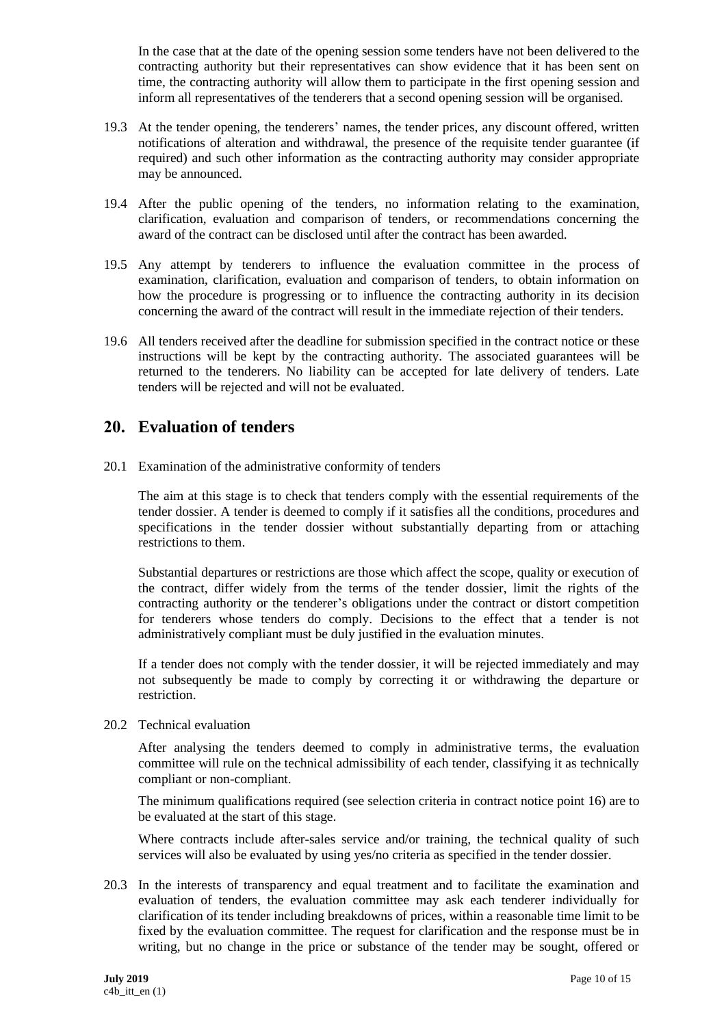In the case that at the date of the opening session some tenders have not been delivered to the contracting authority but their representatives can show evidence that it has been sent on time, the contracting authority will allow them to participate in the first opening session and inform all representatives of the tenderers that a second opening session will be organised.

- 19.3 At the tender opening, the tenderers' names, the tender prices, any discount offered, written notifications of alteration and withdrawal, the presence of the requisite tender guarantee (if required) and such other information as the contracting authority may consider appropriate may be announced.
- 19.4 After the public opening of the tenders, no information relating to the examination, clarification, evaluation and comparison of tenders, or recommendations concerning the award of the contract can be disclosed until after the contract has been awarded.
- 19.5 Any attempt by tenderers to influence the evaluation committee in the process of examination, clarification, evaluation and comparison of tenders, to obtain information on how the procedure is progressing or to influence the contracting authority in its decision concerning the award of the contract will result in the immediate rejection of their tenders.
- 19.6 All tenders received after the deadline for submission specified in the contract notice or these instructions will be kept by the contracting authority. The associated guarantees will be returned to the tenderers. No liability can be accepted for late delivery of tenders. Late tenders will be rejected and will not be evaluated.

## **20. Evaluation of tenders**

20.1 Examination of the administrative conformity of tenders

The aim at this stage is to check that tenders comply with the essential requirements of the tender dossier. A tender is deemed to comply if it satisfies all the conditions, procedures and specifications in the tender dossier without substantially departing from or attaching restrictions to them.

Substantial departures or restrictions are those which affect the scope, quality or execution of the contract, differ widely from the terms of the tender dossier, limit the rights of the contracting authority or the tenderer's obligations under the contract or distort competition for tenderers whose tenders do comply. Decisions to the effect that a tender is not administratively compliant must be duly justified in the evaluation minutes.

If a tender does not comply with the tender dossier, it will be rejected immediately and may not subsequently be made to comply by correcting it or withdrawing the departure or restriction.

20.2 Technical evaluation

After analysing the tenders deemed to comply in administrative terms, the evaluation committee will rule on the technical admissibility of each tender, classifying it as technically compliant or non-compliant.

The minimum qualifications required (see selection criteria in contract notice point 16) are to be evaluated at the start of this stage.

Where contracts include after-sales service and/or training, the technical quality of such services will also be evaluated by using yes/no criteria as specified in the tender dossier.

20.3 In the interests of transparency and equal treatment and to facilitate the examination and evaluation of tenders, the evaluation committee may ask each tenderer individually for clarification of its tender including breakdowns of prices, within a reasonable time limit to be fixed by the evaluation committee. The request for clarification and the response must be in writing, but no change in the price or substance of the tender may be sought, offered or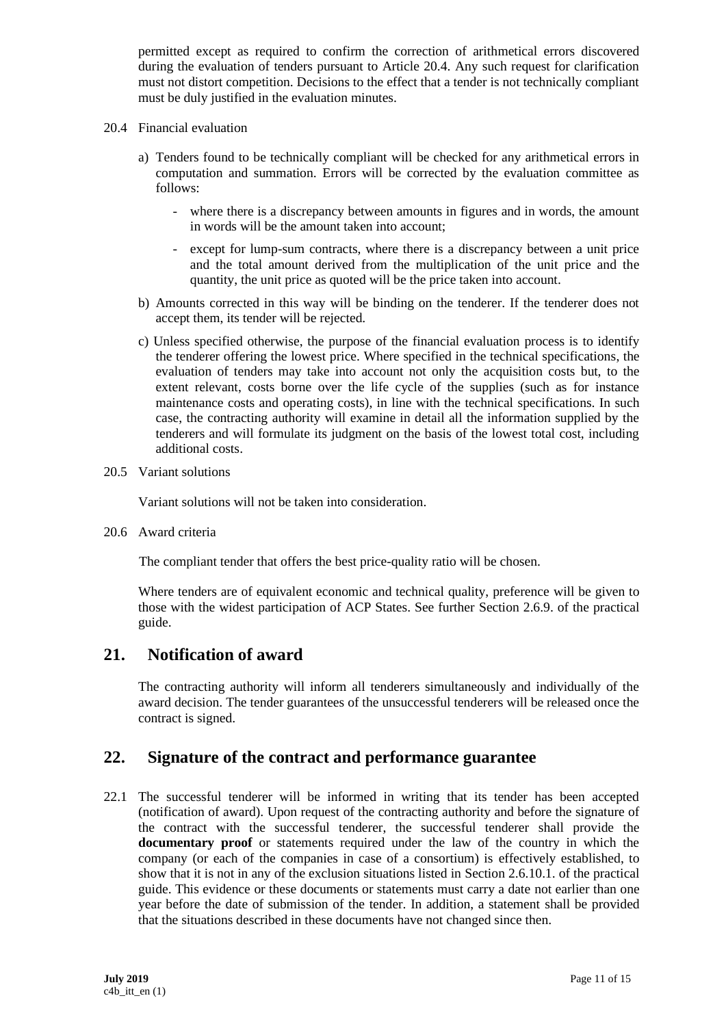permitted except as required to confirm the correction of arithmetical errors discovered during the evaluation of tenders pursuant to Article 20.4. Any such request for clarification must not distort competition. Decisions to the effect that a tender is not technically compliant must be duly justified in the evaluation minutes.

- 20.4 Financial evaluation
	- a) Tenders found to be technically compliant will be checked for any arithmetical errors in computation and summation. Errors will be corrected by the evaluation committee as follows:
		- where there is a discrepancy between amounts in figures and in words, the amount in words will be the amount taken into account;
		- except for lump-sum contracts, where there is a discrepancy between a unit price and the total amount derived from the multiplication of the unit price and the quantity, the unit price as quoted will be the price taken into account.
	- b) Amounts corrected in this way will be binding on the tenderer. If the tenderer does not accept them, its tender will be rejected.
	- c) Unless specified otherwise, the purpose of the financial evaluation process is to identify the tenderer offering the lowest price. Where specified in the technical specifications, the evaluation of tenders may take into account not only the acquisition costs but, to the extent relevant, costs borne over the life cycle of the supplies (such as for instance maintenance costs and operating costs), in line with the technical specifications. In such case, the contracting authority will examine in detail all the information supplied by the tenderers and will formulate its judgment on the basis of the lowest total cost, including additional costs.

#### 20.5 Variant solutions

Variant solutions will not be taken into consideration.

20.6 Award criteria

The compliant tender that offers the best price-quality ratio will be chosen.

Where tenders are of equivalent economic and technical quality, preference will be given to those with the widest participation of ACP States. See further Section 2.6.9. of the practical guide.

### **21. Notification of award**

The contracting authority will inform all tenderers simultaneously and individually of the award decision. The tender guarantees of the unsuccessful tenderers will be released once the contract is signed.

### **22. Signature of the contract and performance guarantee**

22.1 The successful tenderer will be informed in writing that its tender has been accepted (notification of award). Upon request of the contracting authority and before the signature of the contract with the successful tenderer, the successful tenderer shall provide the **documentary proof** or statements required under the law of the country in which the company (or each of the companies in case of a consortium) is effectively established, to show that it is not in any of the exclusion situations listed in Section 2.6.10.1. of the practical guide. This evidence or these documents or statements must carry a date not earlier than one year before the date of submission of the tender. In addition, a statement shall be provided that the situations described in these documents have not changed since then.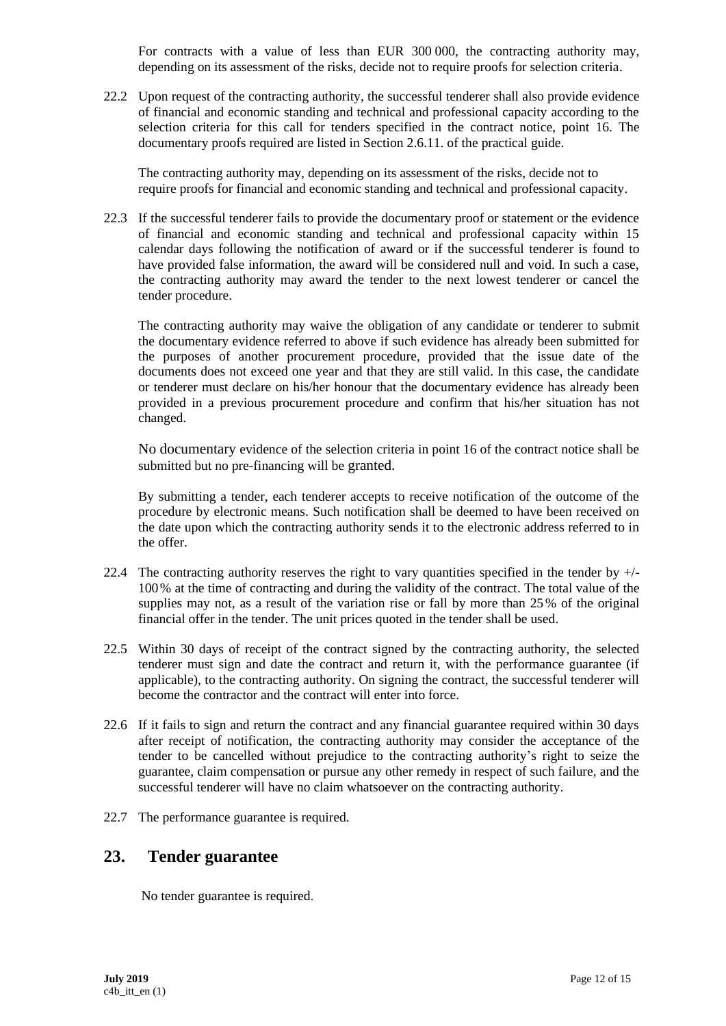For contracts with a value of less than EUR 300 000, the contracting authority may, depending on its assessment of the risks, decide not to require proofs for selection criteria.

22.2 Upon request of the contracting authority, the successful tenderer shall also provide evidence of financial and economic standing and technical and professional capacity according to the selection criteria for this call for tenders specified in the contract notice, point 16. The documentary proofs required are listed in Section 2.6.11. of the practical guide.

The contracting authority may, depending on its assessment of the risks, decide not to require proofs for financial and economic standing and technical and professional capacity.

22.3 If the successful tenderer fails to provide the documentary proof or statement or the evidence of financial and economic standing and technical and professional capacity within 15 calendar days following the notification of award or if the successful tenderer is found to have provided false information, the award will be considered null and void. In such a case, the contracting authority may award the tender to the next lowest tenderer or cancel the tender procedure.

The contracting authority may waive the obligation of any candidate or tenderer to submit the documentary evidence referred to above if such evidence has already been submitted for the purposes of another procurement procedure, provided that the issue date of the documents does not exceed one year and that they are still valid. In this case, the candidate or tenderer must declare on his/her honour that the documentary evidence has already been provided in a previous procurement procedure and confirm that his/her situation has not changed.

No documentary evidence of the selection criteria in point 16 of the contract notice shall be submitted but no pre-financing will be granted.

By submitting a tender, each tenderer accepts to receive notification of the outcome of the procedure by electronic means. Such notification shall be deemed to have been received on the date upon which the contracting authority sends it to the electronic address referred to in the offer.

- 22.4 The contracting authority reserves the right to vary quantities specified in the tender by  $+/-$ 100% at the time of contracting and during the validity of the contract. The total value of the supplies may not, as a result of the variation rise or fall by more than 25% of the original financial offer in the tender. The unit prices quoted in the tender shall be used.
- 22.5 Within 30 days of receipt of the contract signed by the contracting authority, the selected tenderer must sign and date the contract and return it, with the performance guarantee (if applicable), to the contracting authority. On signing the contract, the successful tenderer will become the contractor and the contract will enter into force.
- 22.6 If it fails to sign and return the contract and any financial guarantee required within 30 days after receipt of notification, the contracting authority may consider the acceptance of the tender to be cancelled without prejudice to the contracting authority's right to seize the guarantee, claim compensation or pursue any other remedy in respect of such failure, and the successful tenderer will have no claim whatsoever on the contracting authority.
- 22.7 The performance guarantee is required.

### **23. Tender guarantee**

No tender guarantee is required.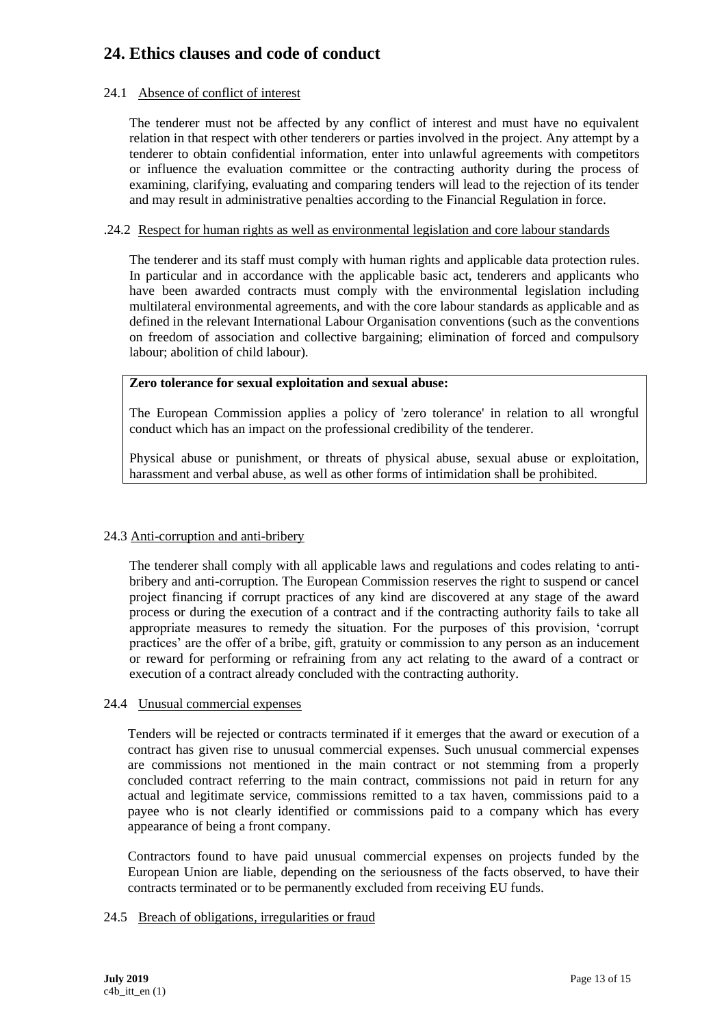# **24. Ethics clauses and code of conduct**

#### 24.1 Absence of conflict of interest

The tenderer must not be affected by any conflict of interest and must have no equivalent relation in that respect with other tenderers or parties involved in the project. Any attempt by a tenderer to obtain confidential information, enter into unlawful agreements with competitors or influence the evaluation committee or the contracting authority during the process of examining, clarifying, evaluating and comparing tenders will lead to the rejection of its tender and may result in administrative penalties according to the Financial Regulation in force.

#### .24.2 Respect for human rights as well as environmental legislation and core labour standards

The tenderer and its staff must comply with human rights and applicable data protection rules. In particular and in accordance with the applicable basic act, tenderers and applicants who have been awarded contracts must comply with the environmental legislation including multilateral environmental agreements, and with the core labour standards as applicable and as defined in the relevant International Labour Organisation conventions (such as the conventions on freedom of association and collective bargaining; elimination of forced and compulsory labour; abolition of child labour).

#### **Zero tolerance for sexual exploitation and sexual abuse:**

The European Commission applies a policy of 'zero tolerance' in relation to all wrongful conduct which has an impact on the professional credibility of the tenderer.

Physical abuse or punishment, or threats of physical abuse, sexual abuse or exploitation, harassment and verbal abuse, as well as other forms of intimidation shall be prohibited.

#### 24.3 Anti-corruption and anti-bribery

The tenderer shall comply with all applicable laws and regulations and codes relating to antibribery and anti-corruption. The European Commission reserves the right to suspend or cancel project financing if corrupt practices of any kind are discovered at any stage of the award process or during the execution of a contract and if the contracting authority fails to take all appropriate measures to remedy the situation. For the purposes of this provision, 'corrupt practices' are the offer of a bribe, gift, gratuity or commission to any person as an inducement or reward for performing or refraining from any act relating to the award of a contract or execution of a contract already concluded with the contracting authority.

#### 24.4 Unusual commercial expenses

Tenders will be rejected or contracts terminated if it emerges that the award or execution of a contract has given rise to unusual commercial expenses. Such unusual commercial expenses are commissions not mentioned in the main contract or not stemming from a properly concluded contract referring to the main contract, commissions not paid in return for any actual and legitimate service, commissions remitted to a tax haven, commissions paid to a payee who is not clearly identified or commissions paid to a company which has every appearance of being a front company.

Contractors found to have paid unusual commercial expenses on projects funded by the European Union are liable, depending on the seriousness of the facts observed, to have their contracts terminated or to be permanently excluded from receiving EU funds.

#### 24.5 Breach of obligations, irregularities or fraud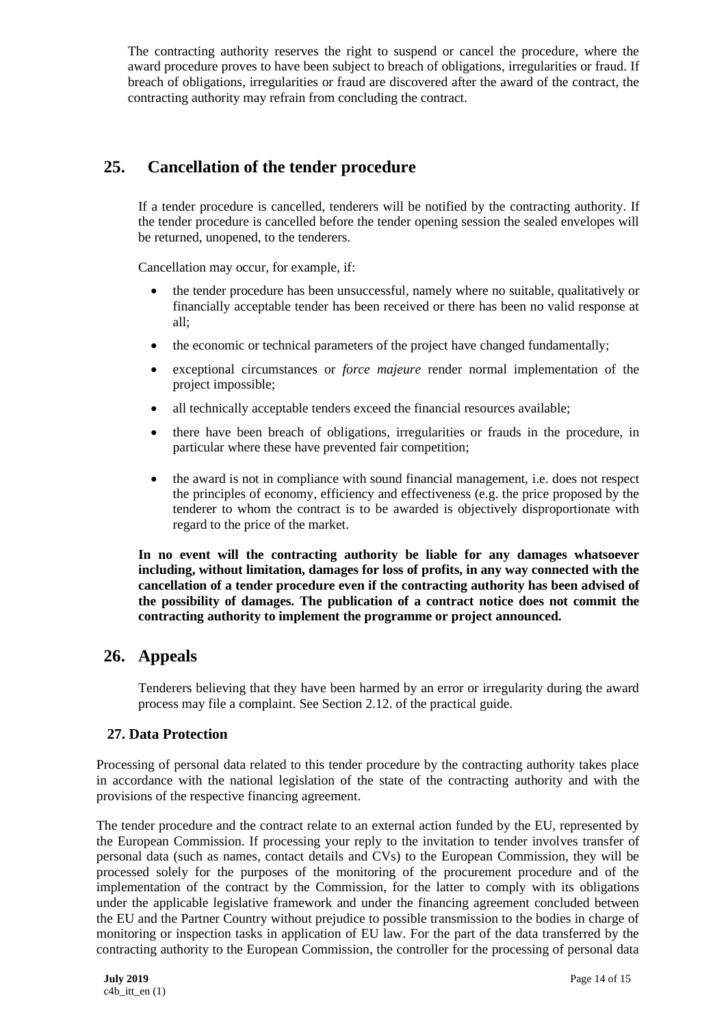The contracting authority reserves the right to suspend or cancel the procedure, where the award procedure proves to have been subject to breach of obligations, irregularities or fraud. If breach of obligations, irregularities or fraud are discovered after the award of the contract, the contracting authority may refrain from concluding the contract.

## **25. Cancellation of the tender procedure**

If a tender procedure is cancelled, tenderers will be notified by the contracting authority. If the tender procedure is cancelled before the tender opening session the sealed envelopes will be returned, unopened, to the tenderers.

Cancellation may occur, for example, if:

- the tender procedure has been unsuccessful, namely where no suitable, qualitatively or financially acceptable tender has been received or there has been no valid response at all;
- the economic or technical parameters of the project have changed fundamentally;
- exceptional circumstances or *force majeure* render normal implementation of the project impossible;
- all technically acceptable tenders exceed the financial resources available;
- there have been breach of obligations, irregularities or frauds in the procedure, in particular where these have prevented fair competition;
- the award is not in compliance with sound financial management, i.e. does not respect the principles of economy, efficiency and effectiveness (e.g. the price proposed by the tenderer to whom the contract is to be awarded is objectively disproportionate with regard to the price of the market.

**In no event will the contracting authority be liable for any damages whatsoever including, without limitation, damages for loss of profits, in any way connected with the cancellation of a tender procedure even if the contracting authority has been advised of the possibility of damages. The publication of a contract notice does not commit the contracting authority to implement the programme or project announced.**

### **26. Appeals**

Tenderers believing that they have been harmed by an error or irregularity during the award process may file a complaint. See Section 2.12. of the practical guide.

#### **27. Data Protection**

Processing of personal data related to this tender procedure by the contracting authority takes place in accordance with the national legislation of the state of the contracting authority and with the provisions of the respective financing agreement.

The tender procedure and the contract relate to an external action funded by the EU, represented by the European Commission. If processing your reply to the invitation to tender involves transfer of personal data (such as names, contact details and CVs) to the European Commission, they will be processed solely for the purposes of the monitoring of the procurement procedure and of the implementation of the contract by the Commission, for the latter to comply with its obligations under the applicable legislative framework and under the financing agreement concluded between the EU and the Partner Country without prejudice to possible transmission to the bodies in charge of monitoring or inspection tasks in application of EU law. For the part of the data transferred by the contracting authority to the European Commission, the controller for the processing of personal data